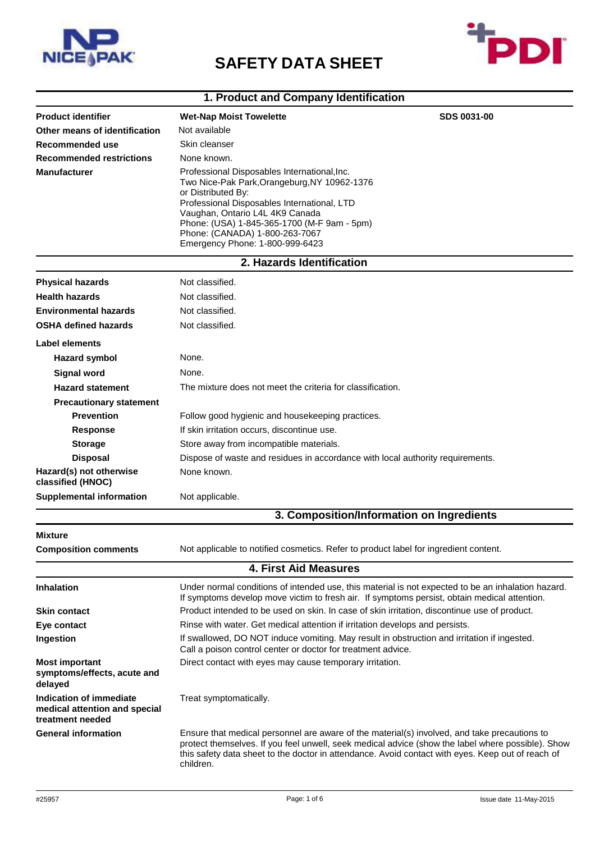

## **SAFETY DATA SHEET**



## **1. Product and Company Identification**

| <b>Product identifier</b>                                                    | <b>Wet-Nap Moist Towelette</b>                                                                                                                                                                                                                                                                                           | <b>SDS 0031-00</b>                                                                                                                                                                                                                                                                                     |
|------------------------------------------------------------------------------|--------------------------------------------------------------------------------------------------------------------------------------------------------------------------------------------------------------------------------------------------------------------------------------------------------------------------|--------------------------------------------------------------------------------------------------------------------------------------------------------------------------------------------------------------------------------------------------------------------------------------------------------|
| Other means of identification                                                | Not available                                                                                                                                                                                                                                                                                                            |                                                                                                                                                                                                                                                                                                        |
| Recommended use                                                              | Skin cleanser                                                                                                                                                                                                                                                                                                            |                                                                                                                                                                                                                                                                                                        |
| <b>Recommended restrictions</b>                                              | None known.                                                                                                                                                                                                                                                                                                              |                                                                                                                                                                                                                                                                                                        |
| <b>Manufacturer</b>                                                          | Professional Disposables International, Inc.<br>Two Nice-Pak Park, Orangeburg, NY 10962-1376<br>or Distributed By:<br>Professional Disposables International, LTD<br>Vaughan, Ontario L4L 4K9 Canada<br>Phone: (USA) 1-845-365-1700 (M-F 9am - 5pm)<br>Phone: (CANADA) 1-800-263-7067<br>Emergency Phone: 1-800-999-6423 |                                                                                                                                                                                                                                                                                                        |
|                                                                              | 2. Hazards Identification                                                                                                                                                                                                                                                                                                |                                                                                                                                                                                                                                                                                                        |
| <b>Physical hazards</b>                                                      | Not classified.                                                                                                                                                                                                                                                                                                          |                                                                                                                                                                                                                                                                                                        |
| <b>Health hazards</b>                                                        | Not classified.                                                                                                                                                                                                                                                                                                          |                                                                                                                                                                                                                                                                                                        |
| <b>Environmental hazards</b>                                                 | Not classified.                                                                                                                                                                                                                                                                                                          |                                                                                                                                                                                                                                                                                                        |
| <b>OSHA defined hazards</b>                                                  | Not classified.                                                                                                                                                                                                                                                                                                          |                                                                                                                                                                                                                                                                                                        |
| Label elements                                                               |                                                                                                                                                                                                                                                                                                                          |                                                                                                                                                                                                                                                                                                        |
| <b>Hazard symbol</b>                                                         | None.                                                                                                                                                                                                                                                                                                                    |                                                                                                                                                                                                                                                                                                        |
| <b>Signal word</b>                                                           | None.                                                                                                                                                                                                                                                                                                                    |                                                                                                                                                                                                                                                                                                        |
| <b>Hazard statement</b>                                                      | The mixture does not meet the criteria for classification.                                                                                                                                                                                                                                                               |                                                                                                                                                                                                                                                                                                        |
| <b>Precautionary statement</b>                                               |                                                                                                                                                                                                                                                                                                                          |                                                                                                                                                                                                                                                                                                        |
| <b>Prevention</b>                                                            | Follow good hygienic and housekeeping practices.                                                                                                                                                                                                                                                                         |                                                                                                                                                                                                                                                                                                        |
| <b>Response</b>                                                              | If skin irritation occurs, discontinue use.                                                                                                                                                                                                                                                                              |                                                                                                                                                                                                                                                                                                        |
| <b>Storage</b>                                                               | Store away from incompatible materials.                                                                                                                                                                                                                                                                                  |                                                                                                                                                                                                                                                                                                        |
| <b>Disposal</b>                                                              | Dispose of waste and residues in accordance with local authority requirements.                                                                                                                                                                                                                                           |                                                                                                                                                                                                                                                                                                        |
| Hazard(s) not otherwise<br>classified (HNOC)                                 | None known.                                                                                                                                                                                                                                                                                                              |                                                                                                                                                                                                                                                                                                        |
| <b>Supplemental information</b>                                              | Not applicable.                                                                                                                                                                                                                                                                                                          |                                                                                                                                                                                                                                                                                                        |
|                                                                              |                                                                                                                                                                                                                                                                                                                          | 3. Composition/Information on Ingredients                                                                                                                                                                                                                                                              |
| Mixture                                                                      |                                                                                                                                                                                                                                                                                                                          |                                                                                                                                                                                                                                                                                                        |
| <b>Composition comments</b>                                                  | Not applicable to notified cosmetics. Refer to product label for ingredient content.                                                                                                                                                                                                                                     |                                                                                                                                                                                                                                                                                                        |
|                                                                              | <b>4. First Aid Measures</b>                                                                                                                                                                                                                                                                                             |                                                                                                                                                                                                                                                                                                        |
| <b>Inhalation</b>                                                            |                                                                                                                                                                                                                                                                                                                          | Under normal conditions of intended use, this material is not expected to be an inhalation hazard.<br>If symptoms develop move victim to fresh air. If symptoms persist, obtain medical attention.                                                                                                     |
| <b>Skin contact</b>                                                          | Product intended to be used on skin. In case of skin irritation, discontinue use of product.                                                                                                                                                                                                                             |                                                                                                                                                                                                                                                                                                        |
| Eye contact                                                                  | Rinse with water. Get medical attention if irritation develops and persists.                                                                                                                                                                                                                                             |                                                                                                                                                                                                                                                                                                        |
| Ingestion                                                                    | If swallowed, DO NOT induce vomiting. May result in obstruction and irritation if ingested.<br>Call a poison control center or doctor for treatment advice.                                                                                                                                                              |                                                                                                                                                                                                                                                                                                        |
| <b>Most important</b><br>symptoms/effects, acute and<br>delayed              | Direct contact with eyes may cause temporary irritation.                                                                                                                                                                                                                                                                 |                                                                                                                                                                                                                                                                                                        |
| Indication of immediate<br>medical attention and special<br>treatment needed | Treat symptomatically.                                                                                                                                                                                                                                                                                                   |                                                                                                                                                                                                                                                                                                        |
| <b>General information</b>                                                   | children.                                                                                                                                                                                                                                                                                                                | Ensure that medical personnel are aware of the material(s) involved, and take precautions to<br>protect themselves. If you feel unwell, seek medical advice (show the label where possible). Show<br>this safety data sheet to the doctor in attendance. Avoid contact with eyes. Keep out of reach of |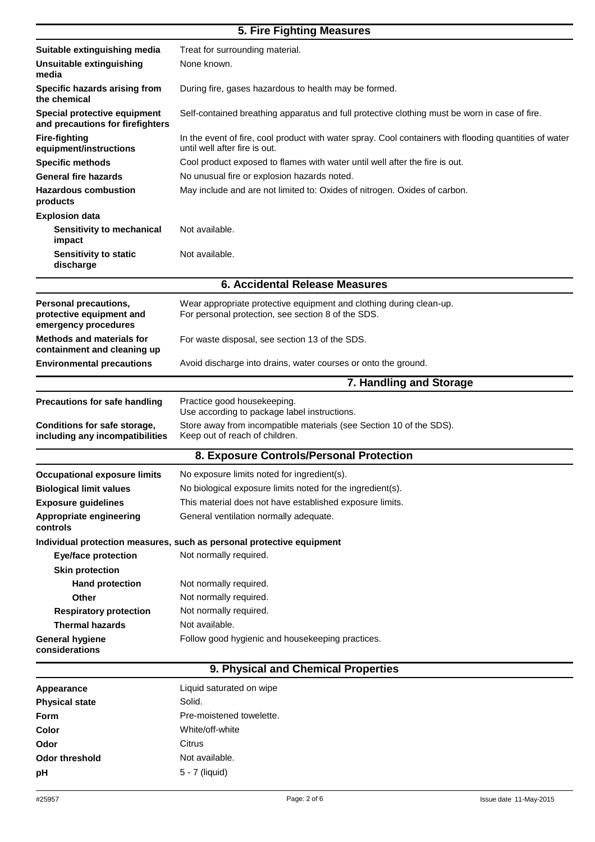## **5. Fire Fighting Measures**

| Suitable extinguishing media                                              | Treat for surrounding material.                                                                                                         |  |
|---------------------------------------------------------------------------|-----------------------------------------------------------------------------------------------------------------------------------------|--|
| Unsuitable extinguishing<br>media                                         | None known.                                                                                                                             |  |
| Specific hazards arising from<br>the chemical                             | During fire, gases hazardous to health may be formed.                                                                                   |  |
| Special protective equipment<br>and precautions for firefighters          | Self-contained breathing apparatus and full protective clothing must be worn in case of fire.                                           |  |
| <b>Fire-fighting</b><br>equipment/instructions                            | In the event of fire, cool product with water spray. Cool containers with flooding quantities of water<br>until well after fire is out. |  |
| <b>Specific methods</b>                                                   | Cool product exposed to flames with water until well after the fire is out.                                                             |  |
| <b>General fire hazards</b>                                               | No unusual fire or explosion hazards noted.                                                                                             |  |
| <b>Hazardous combustion</b><br>products                                   | May include and are not limited to: Oxides of nitrogen. Oxides of carbon.                                                               |  |
| <b>Explosion data</b>                                                     |                                                                                                                                         |  |
| <b>Sensitivity to mechanical</b><br>impact                                | Not available.                                                                                                                          |  |
| <b>Sensitivity to static</b><br>discharge                                 | Not available.                                                                                                                          |  |
|                                                                           | 6. Accidental Release Measures                                                                                                          |  |
| Personal precautions,<br>protective equipment and<br>emergency procedures | Wear appropriate protective equipment and clothing during clean-up.<br>For personal protection, see section 8 of the SDS.               |  |
| <b>Methods and materials for</b><br>containment and cleaning up           | For waste disposal, see section 13 of the SDS.                                                                                          |  |
| <b>Environmental precautions</b>                                          | Avoid discharge into drains, water courses or onto the ground.                                                                          |  |
|                                                                           | 7. Handling and Storage                                                                                                                 |  |
| <b>Precautions for safe handling</b>                                      | Practice good housekeeping.<br>Use according to package label instructions.                                                             |  |
| Conditions for safe storage,<br>including any incompatibilities           | Store away from incompatible materials (see Section 10 of the SDS).<br>Keep out of reach of children.                                   |  |
|                                                                           | 8. Exposure Controls/Personal Protection                                                                                                |  |
| <b>Occupational exposure limits</b>                                       | No exposure limits noted for ingredient(s).                                                                                             |  |
| <b>Biological limit values</b>                                            | No biological exposure limits noted for the ingredient(s).                                                                              |  |
| <b>Exposure guidelines</b>                                                | This material does not have established exposure limits.                                                                                |  |
| Appropriate engineering<br>controls                                       | General ventilation normally adequate.                                                                                                  |  |
|                                                                           | Individual protection measures, such as personal protective equipment                                                                   |  |
| <b>Eye/face protection</b>                                                | Not normally required.                                                                                                                  |  |
| <b>Skin protection</b>                                                    |                                                                                                                                         |  |
| <b>Hand protection</b>                                                    | Not normally required.                                                                                                                  |  |
| <b>Other</b>                                                              | Not normally required.                                                                                                                  |  |
| <b>Respiratory protection</b>                                             | Not normally required.                                                                                                                  |  |
| <b>Thermal hazards</b>                                                    | Not available.                                                                                                                          |  |
| <b>General hygiene</b><br>considerations                                  | Follow good hygienic and housekeeping practices.                                                                                        |  |
|                                                                           | 9. Physical and Chemical Properties                                                                                                     |  |
| Appearance                                                                | Liquid saturated on wipe                                                                                                                |  |

| Appearance            | Liquid saturated on wipe |
|-----------------------|--------------------------|
| <b>Physical state</b> | Solid.                   |
| <b>Form</b>           | Pre-moistened towelette. |
| Color                 | White/off-white          |
| Odor                  | Citrus                   |
| <b>Odor threshold</b> | Not available.           |
| рH                    | 5 - 7 (liquid)           |
|                       |                          |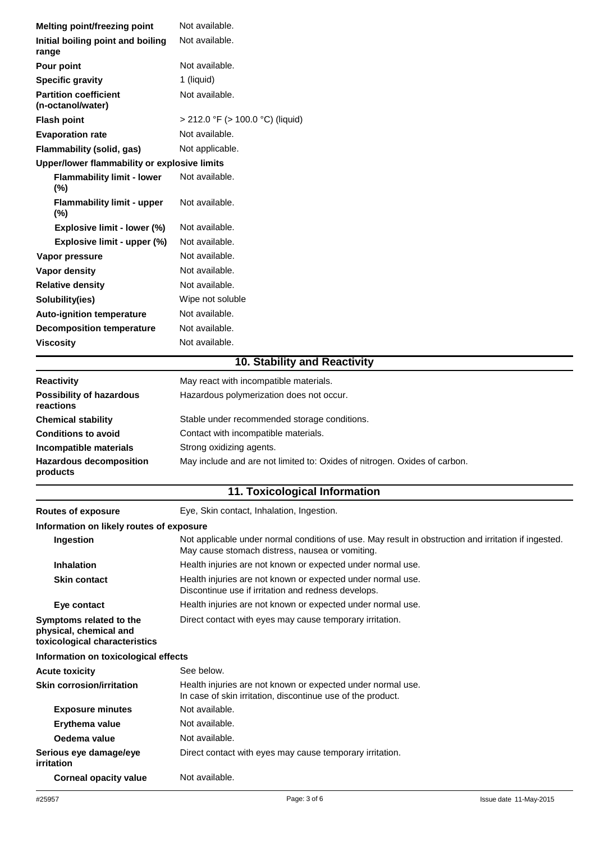| Melting point/freezing point                      | Not available.                        |  |
|---------------------------------------------------|---------------------------------------|--|
| Initial boiling point and boiling<br>range        | Not available.                        |  |
| Pour point                                        | Not available.                        |  |
| <b>Specific gravity</b>                           | 1 (liquid)                            |  |
| <b>Partition coefficient</b><br>(n-octanol/water) | Not available.                        |  |
| <b>Flash point</b>                                | $>$ 212.0 °F ( $>$ 100.0 °C) (liquid) |  |
| <b>Evaporation rate</b>                           | Not available.                        |  |
| Flammability (solid, gas)                         | Not applicable.                       |  |
| Upper/lower flammability or explosive limits      |                                       |  |
| <b>Flammability limit - lower</b><br>$(\% )$      | Not available.                        |  |
| <b>Flammability limit - upper</b><br>$(\%)$       | Not available.                        |  |
| Explosive limit - lower (%)                       | Not available.                        |  |
| Explosive limit - upper (%)                       | Not available.                        |  |
| Vapor pressure                                    | Not available.                        |  |
| Vapor density                                     | Not available.                        |  |
| <b>Relative density</b>                           | Not available.                        |  |
| Solubility(ies)                                   | Wipe not soluble                      |  |
| <b>Auto-ignition temperature</b>                  | Not available.                        |  |
| <b>Decomposition temperature</b>                  | Not available.                        |  |
| <b>Viscosity</b>                                  | Not available.                        |  |
| 10. Stability and Reactivity                      |                                       |  |

| <b>Reactivity</b>                            | May react with incompatible materials.                                    |
|----------------------------------------------|---------------------------------------------------------------------------|
| <b>Possibility of hazardous</b><br>reactions | Hazardous polymerization does not occur.                                  |
| <b>Chemical stability</b>                    | Stable under recommended storage conditions.                              |
| <b>Conditions to avoid</b>                   | Contact with incompatible materials.                                      |
| <b>Incompatible materials</b>                | Strong oxidizing agents.                                                  |
| <b>Hazardous decomposition</b><br>products   | May include and are not limited to: Oxides of nitrogen. Oxides of carbon. |

## **11. Toxicological Information**

| <b>Routes of exposure</b>                                                          | Eye, Skin contact, Inhalation, Ingestion.                                                                                                               |  |
|------------------------------------------------------------------------------------|---------------------------------------------------------------------------------------------------------------------------------------------------------|--|
| Information on likely routes of exposure                                           |                                                                                                                                                         |  |
| Ingestion                                                                          | Not applicable under normal conditions of use. May result in obstruction and irritation if ingested.<br>May cause stomach distress, nausea or vomiting. |  |
| <b>Inhalation</b>                                                                  | Health injuries are not known or expected under normal use.                                                                                             |  |
| <b>Skin contact</b>                                                                | Health injuries are not known or expected under normal use.<br>Discontinue use if irritation and redness develops.                                      |  |
| Eye contact                                                                        | Health injuries are not known or expected under normal use.                                                                                             |  |
| Symptoms related to the<br>physical, chemical and<br>toxicological characteristics | Direct contact with eyes may cause temporary irritation.                                                                                                |  |
| Information on toxicological effects                                               |                                                                                                                                                         |  |
| <b>Acute toxicity</b>                                                              | See below.                                                                                                                                              |  |
| <b>Skin corrosion/irritation</b>                                                   | Health injuries are not known or expected under normal use.<br>In case of skin irritation, discontinue use of the product.                              |  |
| <b>Exposure minutes</b>                                                            | Not available.                                                                                                                                          |  |
| Erythema value                                                                     | Not available.                                                                                                                                          |  |
| Oedema value                                                                       | Not available.                                                                                                                                          |  |
| Serious eye damage/eye<br><i>irritation</i>                                        | Direct contact with eyes may cause temporary irritation.                                                                                                |  |
| <b>Corneal opacity value</b>                                                       | Not available.                                                                                                                                          |  |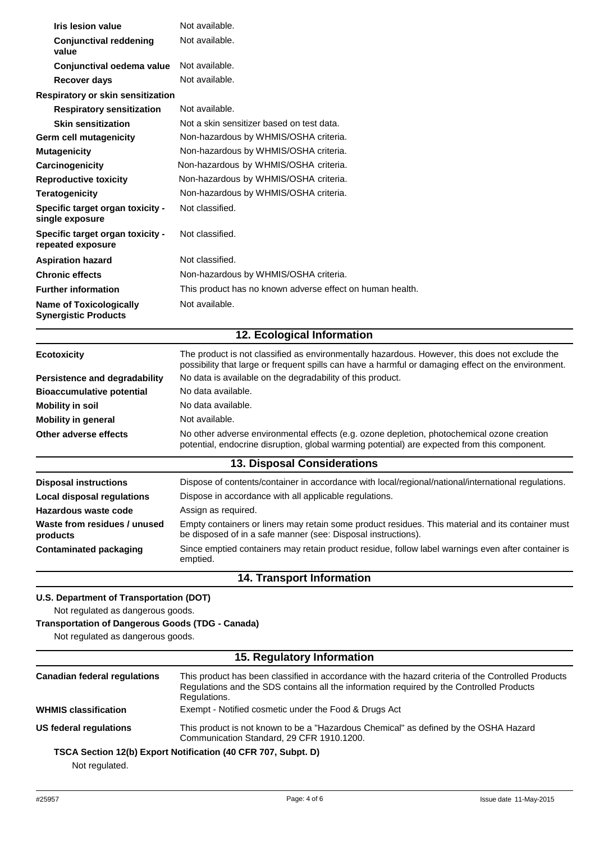| Iris lesion value                                                                            | Not available.                                                                                                                                                                                        |  |
|----------------------------------------------------------------------------------------------|-------------------------------------------------------------------------------------------------------------------------------------------------------------------------------------------------------|--|
| <b>Conjunctival reddening</b><br>value                                                       | Not available.                                                                                                                                                                                        |  |
| Conjunctival oedema value                                                                    | Not available.                                                                                                                                                                                        |  |
| <b>Recover days</b>                                                                          | Not available.                                                                                                                                                                                        |  |
| Respiratory or skin sensitization                                                            |                                                                                                                                                                                                       |  |
| <b>Respiratory sensitization</b>                                                             | Not available.                                                                                                                                                                                        |  |
| <b>Skin sensitization</b>                                                                    | Not a skin sensitizer based on test data.                                                                                                                                                             |  |
| Germ cell mutagenicity                                                                       | Non-hazardous by WHMIS/OSHA criteria.                                                                                                                                                                 |  |
| <b>Mutagenicity</b>                                                                          | Non-hazardous by WHMIS/OSHA criteria.                                                                                                                                                                 |  |
| Carcinogenicity                                                                              | Non-hazardous by WHMIS/OSHA criteria.                                                                                                                                                                 |  |
| <b>Reproductive toxicity</b>                                                                 | Non-hazardous by WHMIS/OSHA criteria.                                                                                                                                                                 |  |
| <b>Teratogenicity</b>                                                                        | Non-hazardous by WHMIS/OSHA criteria.                                                                                                                                                                 |  |
| Specific target organ toxicity -<br>single exposure                                          | Not classified.                                                                                                                                                                                       |  |
| Specific target organ toxicity -<br>repeated exposure                                        | Not classified.                                                                                                                                                                                       |  |
| <b>Aspiration hazard</b>                                                                     | Not classified.                                                                                                                                                                                       |  |
| <b>Chronic effects</b>                                                                       | Non-hazardous by WHMIS/OSHA criteria.                                                                                                                                                                 |  |
| <b>Further information</b>                                                                   | This product has no known adverse effect on human health.                                                                                                                                             |  |
| <b>Name of Toxicologically</b><br><b>Synergistic Products</b>                                | Not available.                                                                                                                                                                                        |  |
|                                                                                              | 12. Ecological Information                                                                                                                                                                            |  |
| <b>Ecotoxicity</b>                                                                           | The product is not classified as environmentally hazardous. However, this does not exclude the<br>possibility that large or frequent spills can have a harmful or damaging effect on the environment. |  |
| Persistence and degradability                                                                | No data is available on the degradability of this product.                                                                                                                                            |  |
| <b>Bioaccumulative potential</b>                                                             | No data available.                                                                                                                                                                                    |  |
| <b>Mobility in soil</b>                                                                      | No data available.                                                                                                                                                                                    |  |
| <b>Mobility in general</b>                                                                   | Not available.                                                                                                                                                                                        |  |
| Other adverse effects                                                                        | No other adverse environmental effects (e.g. ozone depletion, photochemical ozone creation<br>potential, endocrine disruption, global warming potential) are expected from this component.            |  |
|                                                                                              | <b>13. Disposal Considerations</b>                                                                                                                                                                    |  |
| <b>Disposal instructions</b>                                                                 | Dispose of contents/container in accordance with local/regional/national/international regulations.                                                                                                   |  |
| <b>Local disposal regulations</b>                                                            | Dispose in accordance with all applicable regulations.                                                                                                                                                |  |
| Hazardous waste code                                                                         | Assign as required.                                                                                                                                                                                   |  |
| Waste from residues / unused<br>products                                                     | Empty containers or liners may retain some product residues. This material and its container must<br>be disposed of in a safe manner (see: Disposal instructions).                                    |  |
| <b>Contaminated packaging</b>                                                                | Since emptied containers may retain product residue, follow label warnings even after container is<br>emptied.                                                                                        |  |
|                                                                                              | <b>14. Transport Information</b>                                                                                                                                                                      |  |
| U.S. Department of Transportation (DOT)<br>Not regulated as dangerous goods.                 |                                                                                                                                                                                                       |  |
| <b>Transportation of Dangerous Goods (TDG - Canada)</b><br>Not regulated as dangerous goods. |                                                                                                                                                                                                       |  |
| 15. Regulatory Information                                                                   |                                                                                                                                                                                                       |  |

| <b>Canadian federal regulations</b> | This product has been classified in accordance with the hazard criteria of the Controlled Products<br>Regulations and the SDS contains all the information required by the Controlled Products<br>Regulations. |
|-------------------------------------|----------------------------------------------------------------------------------------------------------------------------------------------------------------------------------------------------------------|
| <b>WHMIS classification</b>         | Exempt - Notified cosmetic under the Food & Drugs Act                                                                                                                                                          |
| US federal regulations              | This product is not known to be a "Hazardous Chemical" as defined by the OSHA Hazard<br>Communication Standard, 29 CFR 1910.1200.                                                                              |
| Not rogulated                       | TSCA Section 12(b) Export Notification (40 CFR 707, Subpt. D)                                                                                                                                                  |

Not regulated.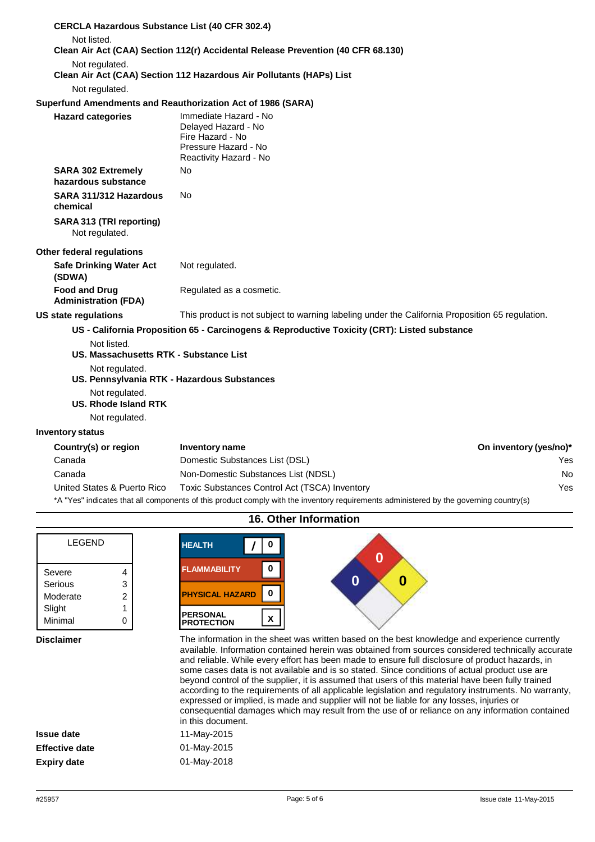| <b>CERCLA Hazardous Substance List (40 CFR 302.4)</b>                                                                  |                                                                                                                    |                        |
|------------------------------------------------------------------------------------------------------------------------|--------------------------------------------------------------------------------------------------------------------|------------------------|
| Not listed.                                                                                                            | Clean Air Act (CAA) Section 112(r) Accidental Release Prevention (40 CFR 68.130)                                   |                        |
|                                                                                                                        |                                                                                                                    |                        |
| Not regulated.                                                                                                         | Clean Air Act (CAA) Section 112 Hazardous Air Pollutants (HAPs) List                                               |                        |
| Not regulated.                                                                                                         |                                                                                                                    |                        |
| Superfund Amendments and Reauthorization Act of 1986 (SARA)                                                            |                                                                                                                    |                        |
| <b>Hazard categories</b>                                                                                               | Immediate Hazard - No<br>Delayed Hazard - No<br>Fire Hazard - No<br>Pressure Hazard - No<br>Reactivity Hazard - No |                        |
| <b>SARA 302 Extremely</b><br>hazardous substance                                                                       | No                                                                                                                 |                        |
| SARA 311/312 Hazardous<br>chemical                                                                                     | No                                                                                                                 |                        |
| SARA 313 (TRI reporting)<br>Not regulated.                                                                             |                                                                                                                    |                        |
| Other federal regulations                                                                                              |                                                                                                                    |                        |
| <b>Safe Drinking Water Act</b><br>(SDWA)                                                                               | Not regulated.                                                                                                     |                        |
| <b>Food and Drug</b><br><b>Administration (FDA)</b>                                                                    | Regulated as a cosmetic.                                                                                           |                        |
| <b>US state regulations</b>                                                                                            | This product is not subject to warning labeling under the California Proposition 65 regulation.                    |                        |
|                                                                                                                        | US - California Proposition 65 - Carcinogens & Reproductive Toxicity (CRT): Listed substance                       |                        |
| Not listed.<br>US. Massachusetts RTK - Substance List<br>Not regulated.<br>US. Pennsylvania RTK - Hazardous Substances |                                                                                                                    |                        |
| Not regulated.<br><b>US. Rhode Island RTK</b>                                                                          |                                                                                                                    |                        |
| Not regulated.                                                                                                         |                                                                                                                    |                        |
| <b>Inventory status</b>                                                                                                |                                                                                                                    |                        |
| Country(s) or region                                                                                                   | <b>Inventory name</b>                                                                                              | On inventory (yes/no)* |
| Canada                                                                                                                 | Domestic Substances List (DSL)                                                                                     | Yes                    |
| Canada                                                                                                                 | Non-Domestic Substances List (NDSL)                                                                                | No                     |
| United States & Puerto Rico                                                                                            | Toxic Substances Control Act (TSCA) Inventory                                                                      | Yes                    |

| LEGEND   |                |
|----------|----------------|
| Severe   | 4              |
| Serious  | 3              |
| Moderate | $\overline{2}$ |
| Slight   |                |
| Minimal  |                |

| <b>HEALTH</b>                        |  |
|--------------------------------------|--|
| <b>FLAMMABILITY</b>                  |  |
| O<br><b>PHYSICAL HAZARD</b>          |  |
| <b>PERSONAL</b><br><b>PROTECTION</b> |  |
|                                      |  |

**16. Other Information**

\*A "Yes" indicates that all components of this product comply with the inventory requirements administered by the governing country(s)

**Disclaimer** The information in the sheet was written based on the best knowledge and experience currently available. Information contained herein was obtained from sources considered technically accurate and reliable. While every effort has been made to ensure full disclosure of product hazards, in some cases data is not available and is so stated. Since conditions of actual product use are beyond control of the supplier, it is assumed that users of this material have been fully trained according to the requirements of all applicable legislation and regulatory instruments. No warranty, expressed or implied, is made and supplier will not be liable for any losses, injuries or consequential damages which may result from the use of or reliance on any information contained nent.

|                | in this docum |
|----------------|---------------|
| Issue date     | 11-May-2015   |
| Effective date | 01-May-2015   |
| Expiry date    | 01-May-2018   |